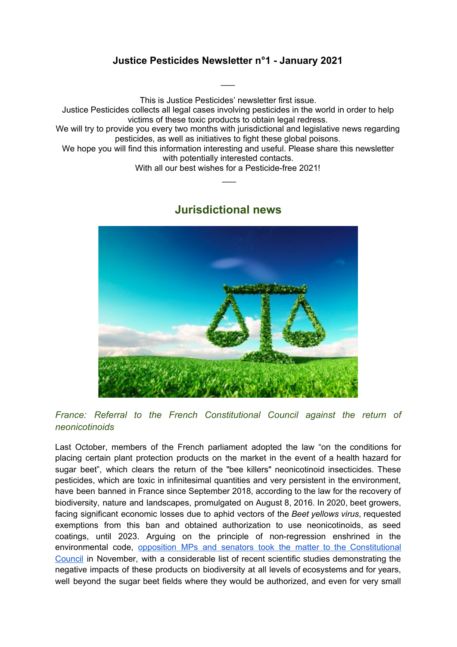## **Justice Pesticides Newsletter n°1 - January 2021**

 $\overline{\phantom{a}}$ 

This is Justice Pesticides' newsletter first issue.

Justice Pesticides collects all legal cases involving pesticides in the world in order to help victims of these toxic products to obtain legal redress.

We will try to provide you every two months with jurisdictional and legislative news regarding pesticides, as well as initiatives to fight these global poisons.

We hope you will find this information interesting and useful. Please share this newsletter with potentially interested contacts.

With all our best wishes for a Pesticide-free 2021!  $\overline{\phantom{a}}$ 

# **Jurisdictional news**

*France: Referral to the French Constitutional Council against the return of neonicotinoids*

Last October, members of the French parliament adopted the law "on the conditions for placing certain plant protection products on the market in the event of a health hazard for sugar beet", which clears the return of the "bee killers" neonicotinoid insecticides. These pesticides, which are toxic in infinitesimal quantities and very persistent in the environment, have been banned in France since September 2018, according to the law for the recovery of biodiversity, nature and landscapes, promulgated on August 8, 2016. In 2020, beet growers, facing significant economic losses due to aphid vectors of the *Beet yellows virus*, requested exemptions from this ban and obtained authorization to use neonicotinoids, as seed coatings, until 2023. Arguing on the principle of non-regression enshrined in the environmental code[,](https://justicepesticides.org/en/juridic_case/elected-officials-v-the-law-relating-to-the-conditions-for-placing-pesticides-on-the-market/) opposition MPs and senators took the matter to the [Constitutional](https://justicepesticides.org/en/juridic_case/elected-officials-v-the-law-relating-to-the-conditions-for-placing-pesticides-on-the-market/) [Council](https://justicepesticides.org/en/juridic_case/elected-officials-v-the-law-relating-to-the-conditions-for-placing-pesticides-on-the-market/) in November, with a considerable list of recent scientific studies demonstrating the negative impacts of these products on biodiversity at all levels of ecosystems and for years, well beyond the sugar beet fields where they would be authorized, and even for very small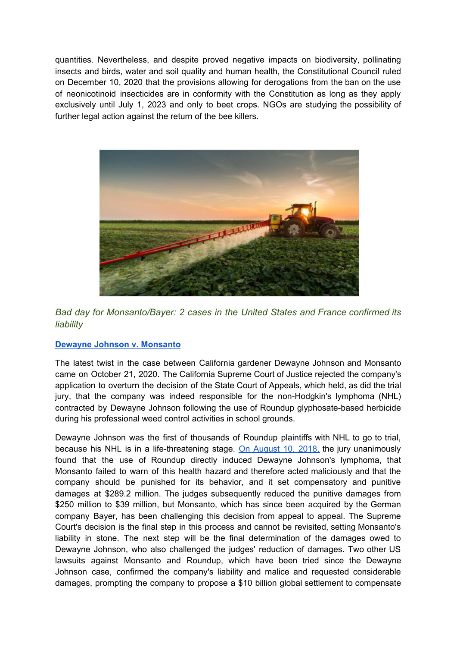quantities. Nevertheless, and despite proved negative impacts on biodiversity, pollinating insects and birds, water and soil quality and human health, the Constitutional Council ruled on December 10, 2020 that the provisions allowing for derogations from the ban on the use of neonicotinoid insecticides are in conformity with the Constitution as long as they apply exclusively until July 1, 2023 and only to beet crops. NGOs are studying the possibility of further legal action against the return of the bee killers.



*Bad day for Monsanto/Bayer: 2 cases in the United States and France confirmed its liability*

#### **Dewayne Johnson v. [Monsanto](https://justicepesticides.org/en/juridic_case/dewayne-johnson-v-monsanto-appeal/)**

The latest twist in the case between California gardener Dewayne Johnson and Monsanto came on October 21, 2020. The California Supreme Court of Justice rejected the company's application to overturn the decision of the State Court of Appeals, which held, as did the trial jury, that the company was indeed responsible for the non-Hodgkin's lymphoma (NHL) contracted by Dewayne Johnson following the use of Roundup glyphosate-based herbicide during his professional weed control activities in school grounds.

Dewayne Johnson was the first of thousands of Roundup plaintiffs with NHL to go to trial, because his NHL is in a life-threatening stage. On [August](https://justicepesticides.org/en/juridic_case/dewayne-johnson-v-monsanto/) 10, 2018, the jury unanimously found that the use of Roundup directly induced Dewayne Johnson's lymphoma, that Monsanto failed to warn of this health hazard and therefore acted maliciously and that the company should be punished for its behavior, and it set compensatory and punitive damages at \$289.2 million. The judges subsequently reduced the punitive damages from \$250 million to \$39 million, but Monsanto, which has since been acquired by the German company Bayer, has been challenging this decision from appeal to appeal. The Supreme Court's decision is the final step in this process and cannot be revisited, setting Monsanto's liability in stone. The next step will be the final determination of the damages owed to Dewayne Johnson, who also challenged the judges' reduction of damages. Two other US lawsuits against Monsanto and Roundup, which have been tried since the Dewayne Johnson case, confirmed the company's liability and malice and requested considerable damages, prompting the company to propose a \$10 billion global settlement to compensate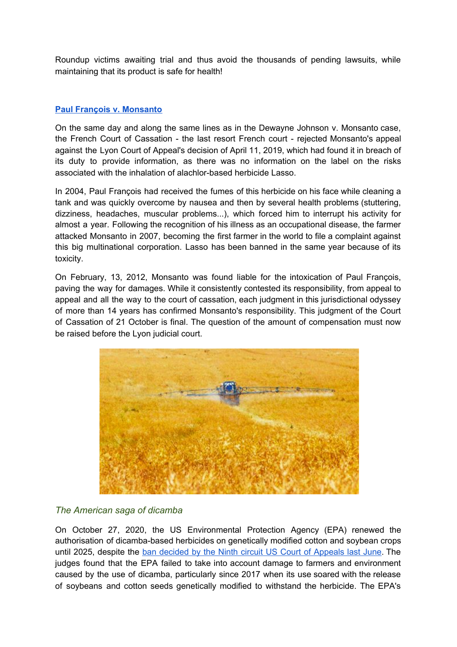Roundup victims awaiting trial and thus avoid the thousands of pending lawsuits, while maintaining that its product is safe for health!

#### **Paul François v. [Monsanto](https://justicepesticides.org/en/juridic_case/paul-francois-v-monsanto/)**

On the same day and along the same lines as in the Dewayne Johnson v. Monsanto case, the French Court of Cassation - the last resort French court - rejected Monsanto's appeal against the Lyon Court of Appeal's decision of April 11, 2019, which had found it in breach of its duty to provide information, as there was no information on the label on the risks associated with the inhalation of alachlor-based herbicide Lasso.

In 2004, Paul François had received the fumes of this herbicide on his face while cleaning a tank and was quickly overcome by nausea and then by several health problems (stuttering, dizziness, headaches, muscular problems...), which forced him to interrupt his activity for almost a year. Following the recognition of his illness as an occupational disease, the farmer attacked Monsanto in 2007, becoming the first farmer in the world to file a complaint against this big multinational corporation. Lasso has been banned in the same year because of its toxicity.

On February, 13, 2012, Monsanto was found liable for the intoxication of Paul François, paving the way for damages. While it consistently contested its responsibility, from appeal to appeal and all the way to the court of cassation, each judgment in this jurisdictional odyssey of more than 14 years has confirmed Monsanto's responsibility. This judgment of the Court of Cassation of 21 October is final. The question of the amount of compensation must now be raised before the Lyon judicial court.



#### *The American saga of dicamba*

On October 27, 2020, the US Environmental Protection Agency (EPA) renewed the authorisation of dicamba-based herbicides on genetically modified cotton and soybean crops until 2025, despite the ban decided by the Ninth circuit US Court of [Appeals](https://justicepesticides.org/en/juridic_case/nffc-et-al-v-epa-et-al/) last June. The judges found that the EPA failed to take into account damage to farmers and environment caused by the use of dicamba, particularly since 2017 when its use soared with the release of soybeans and cotton seeds genetically modified to withstand the herbicide. The EPA's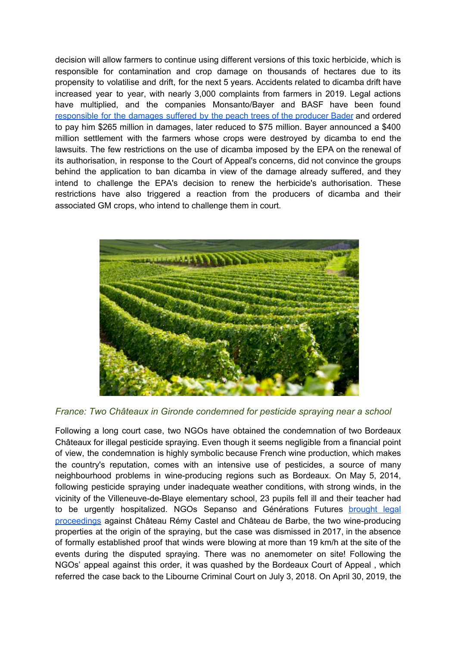decision will allow farmers to continue using different versions of this toxic herbicide, which is responsible for contamination and crop damage on thousands of hectares due to its propensity to volatilise and drift, for the next 5 years. Accidents related to dicamba drift have increased year to year, with nearly 3,000 complaints from farmers in 2019. Legal actions have multiplied, and the companies Monsanto/Bayer and BASF have been found [responsible](https://justicepesticides.org/en/juridic_case/bader-farms-et-al-v-monsanto-and-basf/) for the damages suffered by the peach trees of the producer Bader and ordered to pay him \$265 million in damages, later reduced to \$75 million. Bayer announced a \$400 million settlement with the farmers whose crops were destroyed by dicamba to end the lawsuits. The few restrictions on the use of dicamba imposed by the EPA on the renewal of its authorisation, in response to the Court of Appeal's concerns, did not convince the groups behind the application to ban dicamba in view of the damage already suffered, and they intend to challenge the EPA's decision to renew the herbicide's authorisation. These restrictions have also triggered a reaction from the producers of dicamba and their associated GM crops, who intend to challenge them in court.



*France: Two Châteaux in Gironde condemned for pesticide spraying near a school*

Following a long court case, two NGOs have obtained the condemnation of two Bordeaux Châteaux for illegal pesticide spraying. Even though it seems negligible from a financial point of view, the condemnation is highly symbolic because French wine production, which makes the country's reputation, comes with an intensive use of pesticides, a source of many neighbourhood problems in wine-producing regions such as Bordeaux. On May 5, 2014, following pesticide spraying under inadequate weather conditions, with strong winds, in the vicinity of the Villeneuve-de-Blaye elementary school, 23 pupils fell ill and their teacher had to be urgently ho[s](https://justicepesticides.org/en/juridic_case/sepanso-and-generations-futures-v-gaec-remy-castel-and-chateau-de-barbe-escalette/)pitalized. NGOs Sepanso and Générations Futures [brought](https://justicepesticides.org/en/juridic_case/sepanso-and-generations-futures-v-gaec-remy-castel-and-chateau-de-barbe-escalette/) legal [proceedings](https://justicepesticides.org/en/juridic_case/sepanso-and-generations-futures-v-gaec-remy-castel-and-chateau-de-barbe-escalette/) against Château Rémy Castel and Château de Barbe, the two wine-producing properties at the origin of the spraying, but the case was dismissed in 2017, in the absence of formally established proof that winds were blowing at more than 19 km/h at the site of the events during the disputed spraying. There was no anemometer on site! Following the NGOs' appeal against this order, it was quashed by the Bordeaux Court of Appeal , which referred the case back to the Libourne Criminal Court on July 3, 2018. On April 30, 2019, the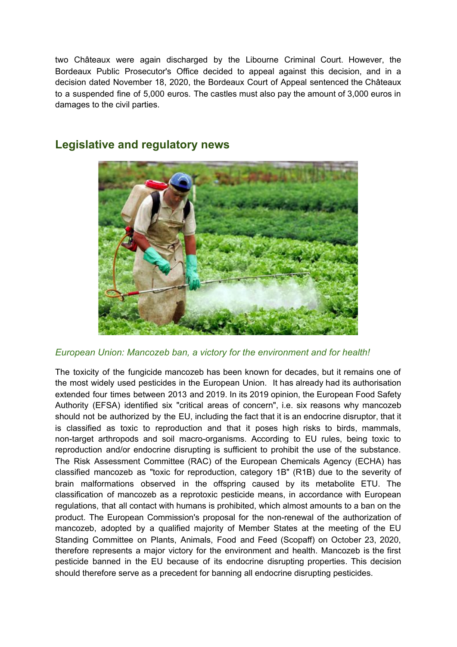two Châteaux were again discharged by the Libourne Criminal Court. However, the Bordeaux Public Prosecutor's Office decided to appeal against this decision, and in a decision dated November 18, 2020, the Bordeaux Court of Appeal sentenced the Châteaux to a suspended fine of 5,000 euros. The castles must also pay the amount of 3,000 euros in damages to the civil parties.



## **Legislative and regulatory news**

*European Union: Mancozeb ban, a victory for the environment and for health!*

The toxicity of the fungicide mancozeb has been known for decades, but it remains one of the most widely used pesticides in the European Union. It has already had its authorisation extended four times between 2013 and 2019. In its 2019 opinion, the European Food Safety Authority (EFSA) identified six "critical areas of concern", i.e. six reasons why mancozeb should not be authorized by the EU, including the fact that it is an endocrine disruptor, that it is classified as toxic to reproduction and that it poses high risks to birds, mammals, non-target arthropods and soil macro-organisms. According to EU rules, being toxic to reproduction and/or endocrine disrupting is sufficient to prohibit the use of the substance. The Risk Assessment Committee (RAC) of the European Chemicals Agency (ECHA) has classified mancozeb as "toxic for reproduction, category 1B" (R1B) due to the severity of brain malformations observed in the offspring caused by its metabolite ETU. The classification of mancozeb as a reprotoxic pesticide means, in accordance with European regulations, that all contact with humans is prohibited, which almost amounts to a ban on the product. The European Commission's proposal for the non-renewal of the authorization of mancozeb, adopted by a qualified majority of Member States at the meeting of the EU Standing Committee on Plants, Animals, Food and Feed (Scopaff) on October 23, 2020, therefore represents a major victory for the environment and health. Mancozeb is the first pesticide banned in the EU because of its endocrine disrupting properties. This decision should therefore serve as a precedent for banning all endocrine disrupting pesticides.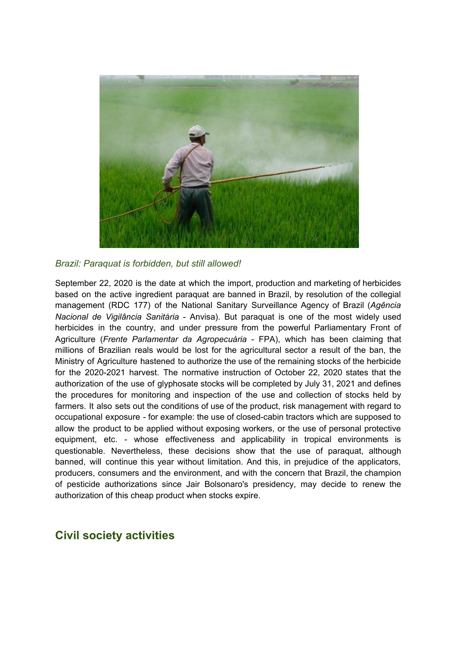

*Brazil: Paraquat is forbidden, but still allowed!*

September 22, 2020 is the date at which the import, production and marketing of herbicides based on the active ingredient paraquat are banned in Brazil, by resolution of the collegial management (RDC 177) of the National Sanitary Surveillance Agency of Brazil (*Agência Nacional de Vigilância Sanitária* - Anvisa). But paraquat is one of the most widely used herbicides in the country, and under pressure from the powerful Parliamentary Front of Agriculture (*Frente Parlamentar da Agropecuária* - FPA), which has been claiming that millions of Brazilian reals would be lost for the agricultural sector a result of the ban, the Ministry of Agriculture hastened to authorize the use of the remaining stocks of the herbicide for the 2020-2021 harvest. The normative instruction of October 22, 2020 states that the authorization of the use of glyphosate stocks will be completed by July 31, 2021 and defines the procedures for monitoring and inspection of the use and collection of stocks held by farmers. It also sets out the conditions of use of the product, risk management with regard to occupational exposure - for example: the use of closed-cabin tractors which are supposed to allow the product to be applied without exposing workers, or the use of personal protective equipment, etc. - whose effectiveness and applicability in tropical environments is questionable. Nevertheless, these decisions show that the use of paraquat, although banned, will continue this year without limitation. And this, in prejudice of the applicators, producers, consumers and the environment, and with the concern that Brazil, the champion of pesticide authorizations since Jair Bolsonaro's presidency, may decide to renew the authorization of this cheap product when stocks expire.

## **Civil society activities**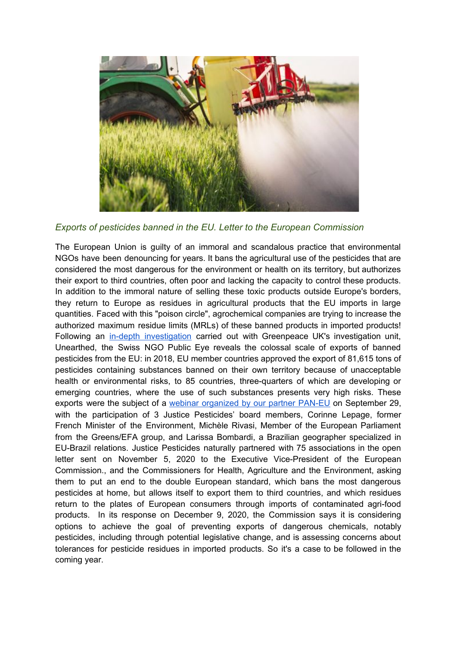

### *Exports of pesticides banned in the EU. Letter to the European Commission*

The European Union is guilty of an immoral and scandalous practice that environmental NGOs have been denouncing for years. It bans the agricultural use of the pesticides that are considered the most dangerous for the environment or health on its territory, but authorizes their export to third countries, often poor and lacking the capacity to control these products. In addition to the immoral nature of selling these toxic products outside Europe's borders, they return to Europe as residues in agricultural products that the EU imports in large quantities. Faced with this "poison circle", agrochemical companies are trying to increase the authorized maximum residue limits (MRLs) of these banned products in imported products! Follow[i](https://www.publiceye.ch/en/topics/pesticides/banned-in-europe)ng an in-depth [investigation](https://www.publiceye.ch/en/topics/pesticides/banned-in-europe) carried out with Greenpeace UK's investigation unit, Unearthed, the Swiss NGO Public Eye reveals the colossal scale of exports of banned pesticides from the EU: in 2018, EU member countries approved the export of 81,615 tons of pesticides containing substances banned on their own territory because of unacceptable health or environmental risks, to 85 countries, three-quarters of which are developing or emerging countries, where the use of such substances presents very high risks. These exports were the subject of [a](https://www.pan-europe.info/resources/articles/2020/08/webinar-hazardous-pesticides-and-eus-double-standards) webinar [organized](https://www.pan-europe.info/resources/articles/2020/08/webinar-hazardous-pesticides-and-eus-double-standards) by our partner PAN-EU on September 29, with the participation of 3 Justice Pesticides' board members, Corinne Lepage, former French Minister of the Environment, Michèle Rivasi, Member of the European Parliament from the Greens/EFA group, and Larissa Bombardi, a Brazilian geographer specialized in EU-Brazil relations. Justice Pesticides naturally partnered with 75 associations in the open letter sent on November 5, 2020 to the Executive Vice-President of the European Commission., and the Commissioners for Health, Agriculture and the Environment, asking them to put an end to the double European standard, which bans the most dangerous pesticides at home, but allows itself to export them to third countries, and which residues return to the plates of European consumers through imports of contaminated agri-food products. In its response on December 9, 2020, the Commission says it is considering options to achieve the goal of preventing exports of dangerous chemicals, notably pesticides, including through potential legislative change, and is assessing concerns about tolerances for pesticide residues in imported products. So it's a case to be followed in the coming year.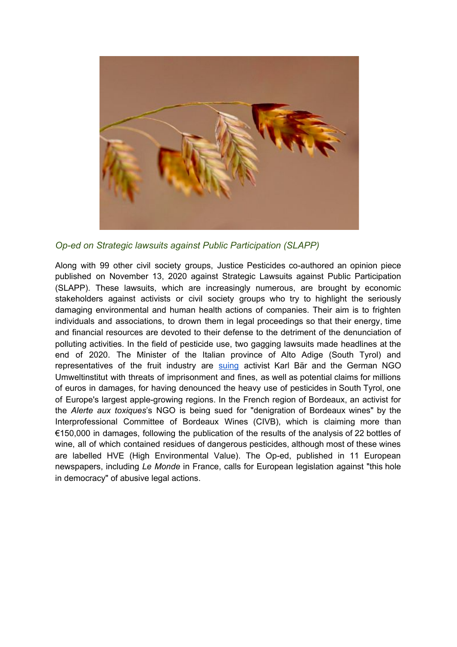

*Op-ed on Strategic lawsuits against Public Participation (SLAPP)*

Along with 99 other civil society groups, Justice Pesticides co-authored an opinion piece published on November 13, 2020 against Strategic Lawsuits against Public Participation (SLAPP). These lawsuits, which are increasingly numerous, are brought by economic stakeholders against activists or civil society groups who try to highlight the seriously damaging environmental and human health actions of companies. Their aim is to frighten individuals and associations, to drown them in legal proceedings so that their energy, time and financial resources are devoted to their defense to the detriment of the denunciation of polluting activities. In the field of pesticide use, two gagging lawsuits made headlines at the end of 2020. The Minister of the Italian province of Alto Adige (South Tyrol) and r[e](https://justicepesticides.org/en/2020/09/08/freedom-of-speech-under-attack-german-environmentalists-and-austrian-author-hit-with-legal-slapp-case-in-northern-italy-over-criticism-of-massive-pesticide-use/)presentatives of the fruit industry are [suing](https://justicepesticides.org/en/2020/09/08/freedom-of-speech-under-attack-german-environmentalists-and-austrian-author-hit-with-legal-slapp-case-in-northern-italy-over-criticism-of-massive-pesticide-use/) activist Karl Bär and the German NGO Umweltinstitut with threats of imprisonment and fines, as well as potential claims for millions of euros in damages, for having denounced the heavy use of pesticides in South Tyrol, one of Europe's largest apple-growing regions. In the French region of Bordeaux, an activist for the *Alerte aux toxiques*'s NGO is being sued for "denigration of Bordeaux wines" by the Interprofessional Committee of Bordeaux Wines (CIVB), which is claiming more than €150,000 in damages, following the publication of the results of the analysis of 22 bottles of wine, all of which contained residues of dangerous pesticides, although most of these wines are labelled HVE (High Environmental Value). The Op-ed, published in 11 European newspapers, including *Le Monde* in France, calls for European legislation against "this hole in democracy" of abusive legal actions.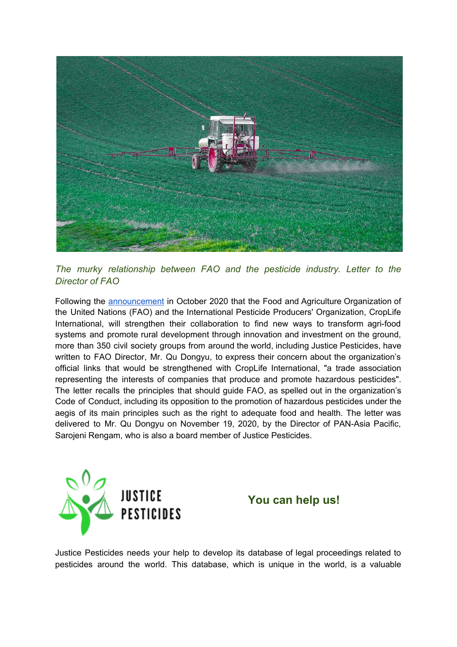

*The murky relationship between FAO and the pesticide industry. Letter to the Director of FAO*

Following th[e](http://www.fao.org/news/story/en/item/1311286/icode/) **[announcement](http://www.fao.org/news/story/en/item/1311286/icode/)** in October 2020 that the Food and Agriculture Organization of the United Nations (FAO) and the International Pesticide Producers' Organization, CropLife International, will strengthen their collaboration to find new ways to transform agri-food systems and promote rural development through innovation and investment on the ground, more than 350 civil society groups from around the world, including Justice Pesticides, have written to FAO Director, Mr. Qu Dongyu, to express their concern about the organization's official links that would be strengthened with CropLife International, "a trade association representing the interests of companies that produce and promote hazardous pesticides". The letter recalls the principles that should guide FAO, as spelled out in the organization's Code of Conduct, including its opposition to the promotion of hazardous pesticides under the aegis of its main principles such as the right to adequate food and health. The letter was delivered to Mr. Qu Dongyu on November 19, 2020, by the Director of PAN-Asia Pacific, Sarojeni Rengam, who is also a board member of Justice Pesticides.





Justice Pesticides needs your help to develop its database of legal proceedings related to pesticides around the world. This database, which is unique in the world, is a valuable